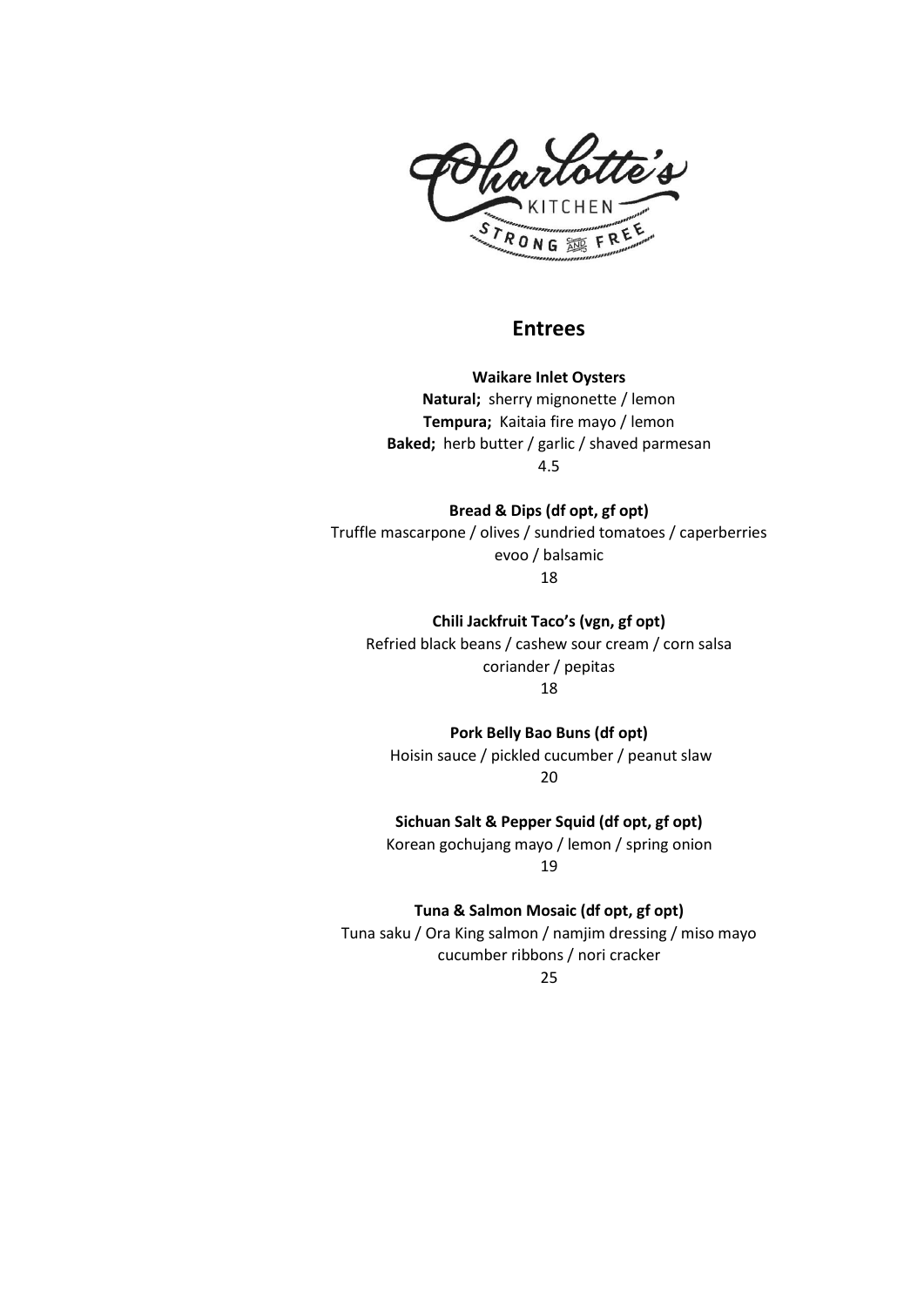

### **Entrees**

**Waikare Inlet Oysters Natural;** sherry mignonette / lemon **Tempura;** Kaitaia fire mayo / lemon **Baked;** herb butter / garlic / shaved parmesan 4.5

**Bread & Dips (df opt, gf opt)** Truffle mascarpone / olives / sundried tomatoes / caperberries evoo / balsamic 18

**Chili Jackfruit Taco's (vgn, gf opt)** Refried black beans / cashew sour cream / corn salsa coriander / pepitas 18

**Pork Belly Bao Buns (df opt)** Hoisin sauce / pickled cucumber / peanut slaw 20

**Sichuan Salt & Pepper Squid (df opt, gf opt)** Korean gochujang mayo / lemon / spring onion 19

**Tuna & Salmon Mosaic (df opt, gf opt)** Tuna saku / Ora King salmon / namjim dressing / miso mayo

cucumber ribbons / nori cracker 25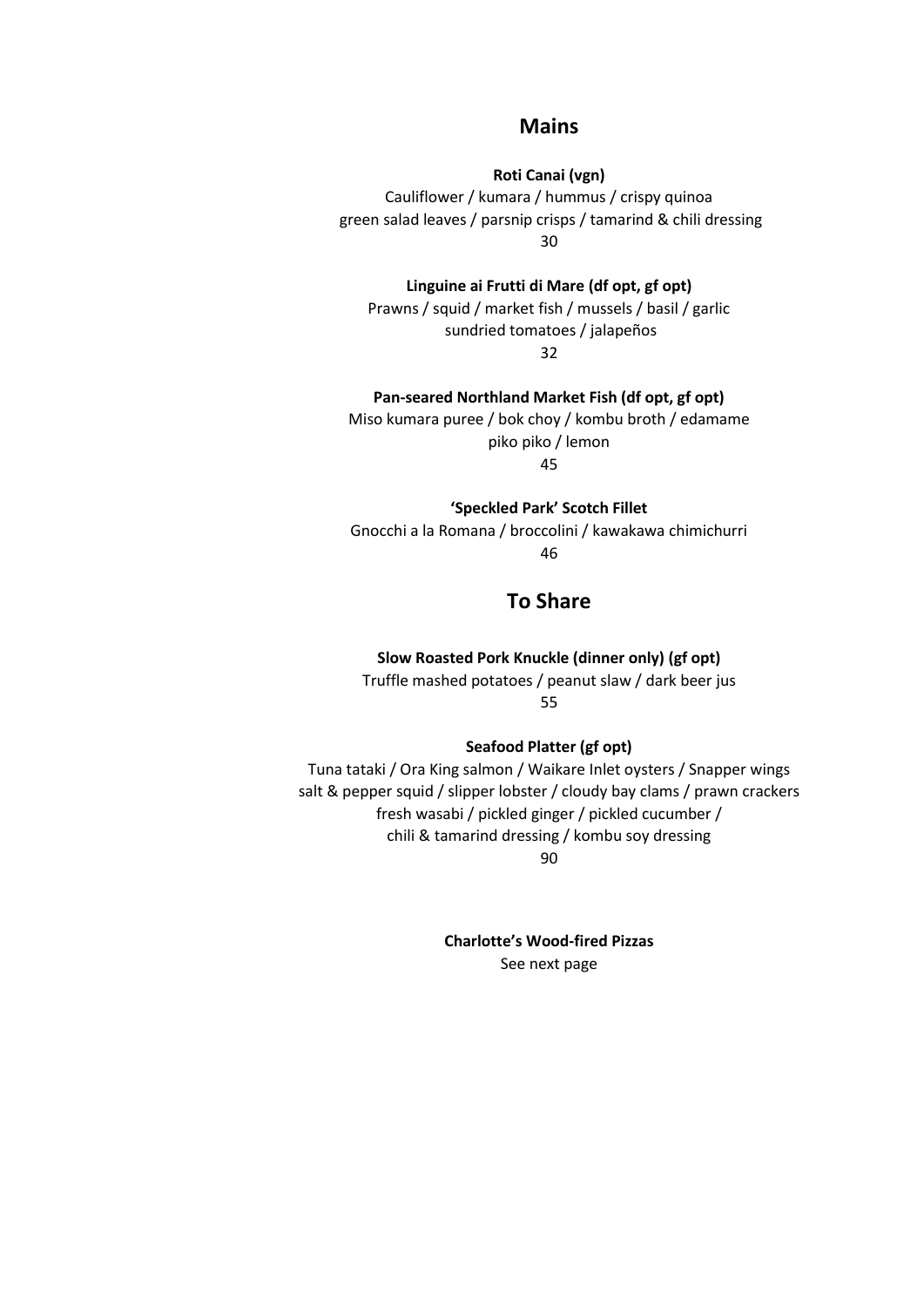#### **Mains**

**Roti Canai (vgn)**

Cauliflower / kumara / hummus / crispy quinoa green salad leaves / parsnip crisps / tamarind & chili dressing 30

**Linguine ai Frutti di Mare (df opt, gf opt)**

Prawns / squid / market fish / mussels / basil / garlic sundried tomatoes / jalapeños 32

**Pan-seared Northland Market Fish (df opt, gf opt)**

Miso kumara puree / bok choy / kombu broth / edamame piko piko / lemon 45

**'Speckled Park' Scotch Fillet**

Gnocchi a la Romana / broccolini / kawakawa chimichurri 46

## **To Share**

**Slow Roasted Pork Knuckle (dinner only) (gf opt)**

Truffle mashed potatoes / peanut slaw / dark beer jus 55

**Seafood Platter (gf opt)**

Tuna tataki / Ora King salmon / Waikare Inlet oysters / Snapper wings salt & pepper squid / slipper lobster / cloudy bay clams / prawn crackers fresh wasabi / pickled ginger / pickled cucumber / chili & tamarind dressing / kombu soy dressing 90

**Charlotte's Wood-fired Pizzas** See next page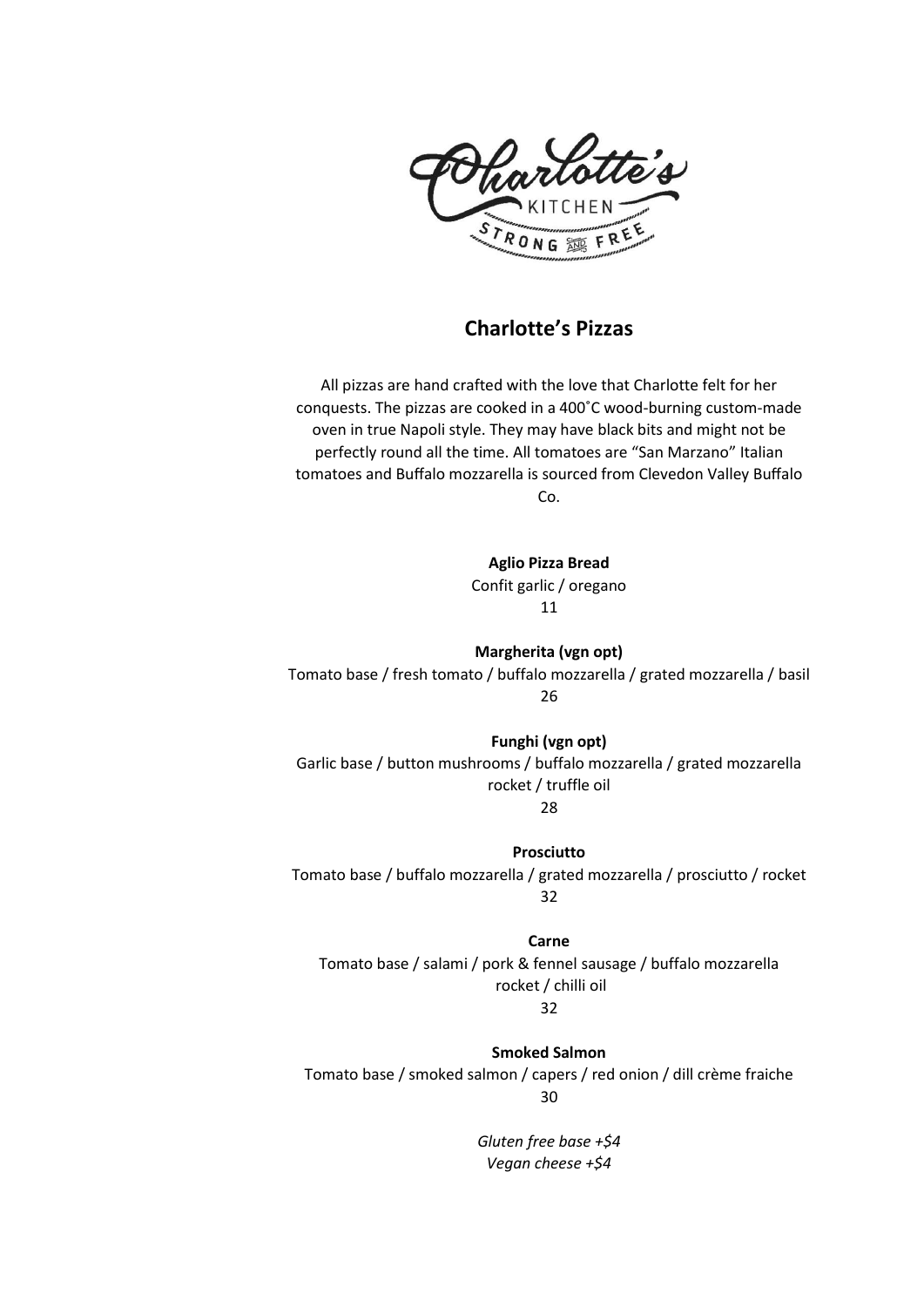

# **Charlotte's Pizzas**

All pizzas are hand crafted with the love that Charlotte felt for her conquests. The pizzas are cooked in a 400˚C wood-burning custom-made oven in true Napoli style. They may have black bits and might not be perfectly round all the time. All tomatoes are "San Marzano" Italian tomatoes and Buffalo mozzarella is sourced from Clevedon Valley Buffalo Co.

**Aglio Pizza Bread**

Confit garlic / oregano 11

**Margherita (vgn opt)** Tomato base / fresh tomato / buffalo mozzarella / grated mozzarella / basil 26

**Funghi (vgn opt)** Garlic base / button mushrooms / buffalo mozzarella / grated mozzarella rocket / truffle oil

28

**Prosciutto** Tomato base / buffalo mozzarella / grated mozzarella / prosciutto / rocket 32

**Carne**

Tomato base / salami / pork & fennel sausage / buffalo mozzarella rocket / chilli oil 32

**Smoked Salmon** 

Tomato base / smoked salmon / capers / red onion / dill crème fraiche 30

> *Gluten free base +\$4 Vegan cheese +\$4*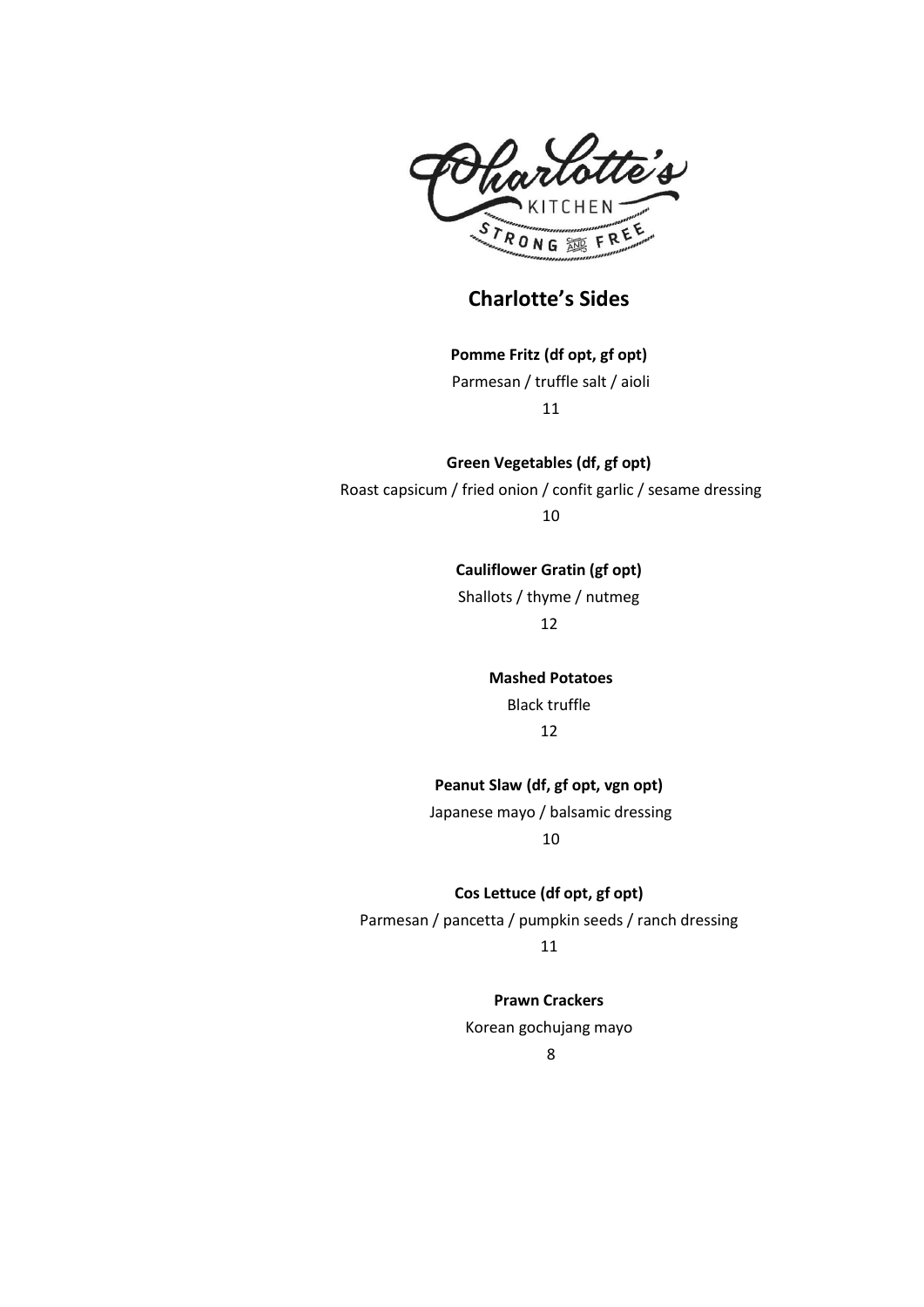

**Charlotte's Sides**

**Pomme Fritz (df opt, gf opt)** Parmesan / truffle salt / aioli 11

**Green Vegetables (df, gf opt)** Roast capsicum / fried onion / confit garlic / sesame dressing 10

> **Cauliflower Gratin (gf opt)** Shallots / thyme / nutmeg 12

> > **Mashed Potatoes** Black truffle 12

**Peanut Slaw (df, gf opt, vgn opt)** Japanese mayo / balsamic dressing

10

**Cos Lettuce (df opt, gf opt)** Parmesan / pancetta / pumpkin seeds / ranch dressing 11

**Prawn Crackers**

Korean gochujang mayo

8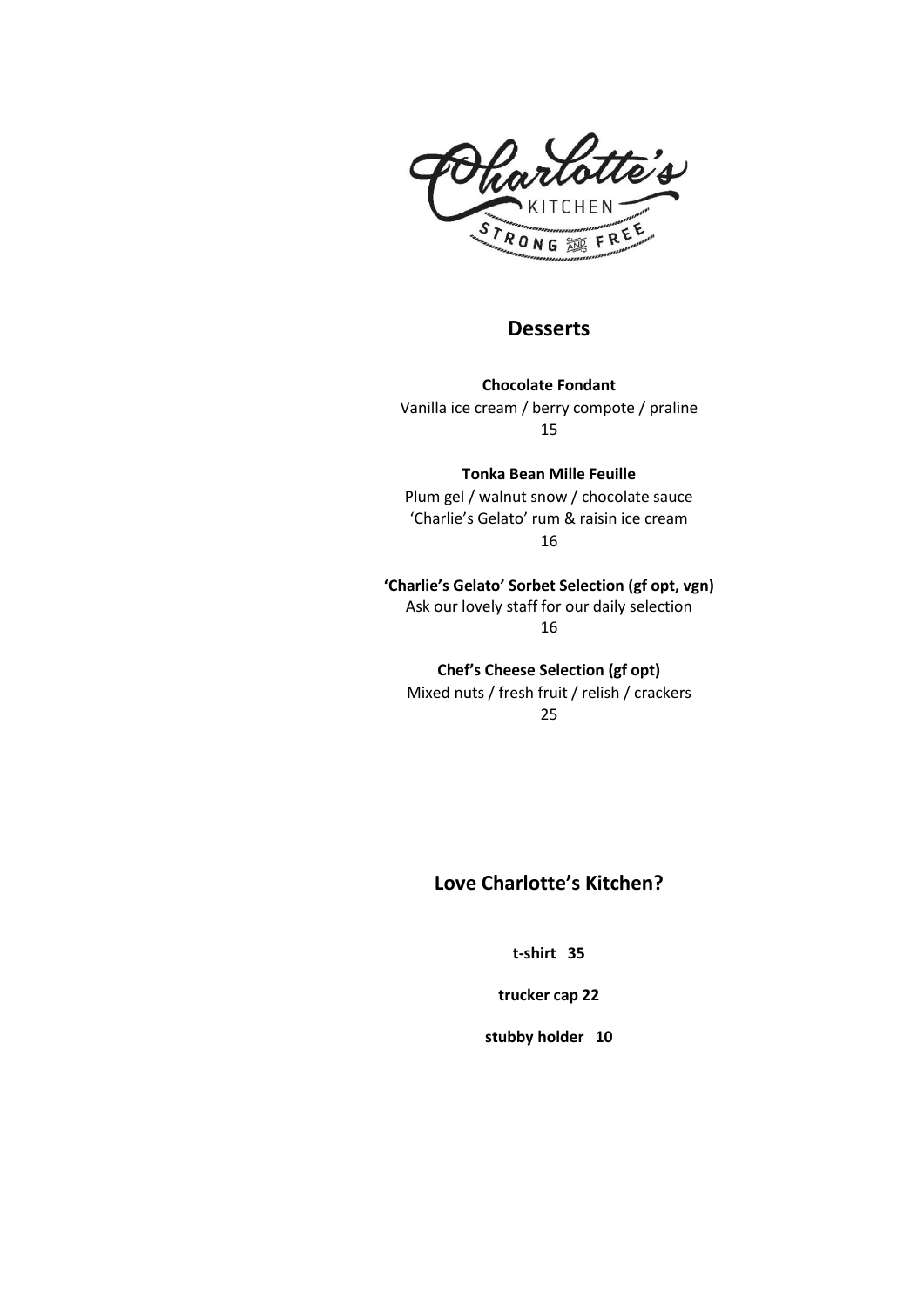

### **Desserts**

**Chocolate Fondant** Vanilla ice cream / berry compote / praline 15

**Tonka Bean Mille Feuille** Plum gel / walnut snow / chocolate sauce 'Charlie's Gelato' rum & raisin ice cream 16

**'Charlie's Gelato' Sorbet Selection (gf opt, vgn)** Ask our lovely staff for our daily selection 16

**Chef's Cheese Selection (gf opt)** Mixed nuts / fresh fruit / relish / crackers

25

# **Love Charlotte's Kitchen?**

**t-shirt 35**

**trucker cap 22**

**stubby holder 10**